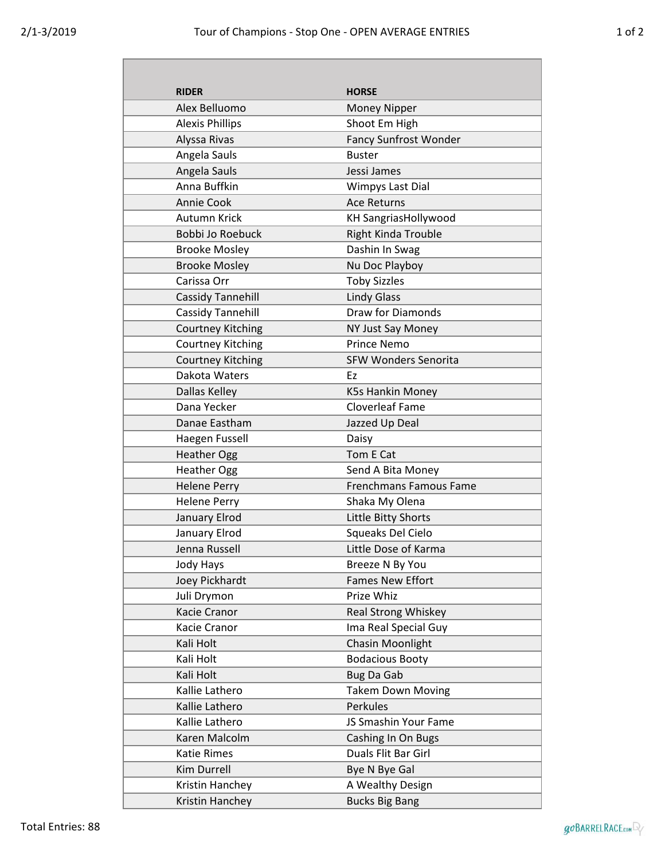Г

| <b>RIDER</b>             | <b>HORSE</b>                  |
|--------------------------|-------------------------------|
| Alex Belluomo            | <b>Money Nipper</b>           |
| <b>Alexis Phillips</b>   | Shoot Em High                 |
| Alyssa Rivas             | <b>Fancy Sunfrost Wonder</b>  |
| Angela Sauls             | <b>Buster</b>                 |
| Angela Sauls             | Jessi James                   |
| Anna Buffkin             | Wimpys Last Dial              |
| <b>Annie Cook</b>        | <b>Ace Returns</b>            |
| Autumn Krick             | <b>KH SangriasHollywood</b>   |
| <b>Bobbi Jo Roebuck</b>  | <b>Right Kinda Trouble</b>    |
| <b>Brooke Mosley</b>     | Dashin In Swag                |
| <b>Brooke Mosley</b>     | Nu Doc Playboy                |
| Carissa Orr              | <b>Toby Sizzles</b>           |
| Cassidy Tannehill        | <b>Lindy Glass</b>            |
| Cassidy Tannehill        | Draw for Diamonds             |
| <b>Courtney Kitching</b> | NY Just Say Money             |
| <b>Courtney Kitching</b> | <b>Prince Nemo</b>            |
| <b>Courtney Kitching</b> | <b>SFW Wonders Senorita</b>   |
| Dakota Waters            | Ez                            |
| Dallas Kelley            | K5s Hankin Money              |
| Dana Yecker              | <b>Cloverleaf Fame</b>        |
| Danae Eastham            | Jazzed Up Deal                |
| Haegen Fussell           | Daisy                         |
| <b>Heather Ogg</b>       | Tom E Cat                     |
| <b>Heather Ogg</b>       | Send A Bita Money             |
| <b>Helene Perry</b>      | <b>Frenchmans Famous Fame</b> |
| <b>Helene Perry</b>      | Shaka My Olena                |
| January Elrod            | Little Bitty Shorts           |
| January Elrod            | Squeaks Del Cielo             |
| Jenna Russell            | Little Dose of Karma          |
| <b>Jody Hays</b>         | Breeze N By You               |
| Joey Pickhardt           | <b>Fames New Effort</b>       |
| Juli Drymon              | Prize Whiz                    |
| Kacie Cranor             | Real Strong Whiskey           |
| Kacie Cranor             | Ima Real Special Guy          |
| Kali Holt                | Chasin Moonlight              |
| Kali Holt                | <b>Bodacious Booty</b>        |
| Kali Holt                | <b>Bug Da Gab</b>             |
| Kallie Lathero           | <b>Takem Down Moving</b>      |
| Kallie Lathero           | Perkules                      |
| Kallie Lathero           | JS Smashin Your Fame          |
| Karen Malcolm            | Cashing In On Bugs            |
| <b>Katie Rimes</b>       | Duals Flit Bar Girl           |
| Kim Durrell              | Bye N Bye Gal                 |
| Kristin Hanchey          | A Wealthy Design              |
| Kristin Hanchey          | <b>Bucks Big Bang</b>         |